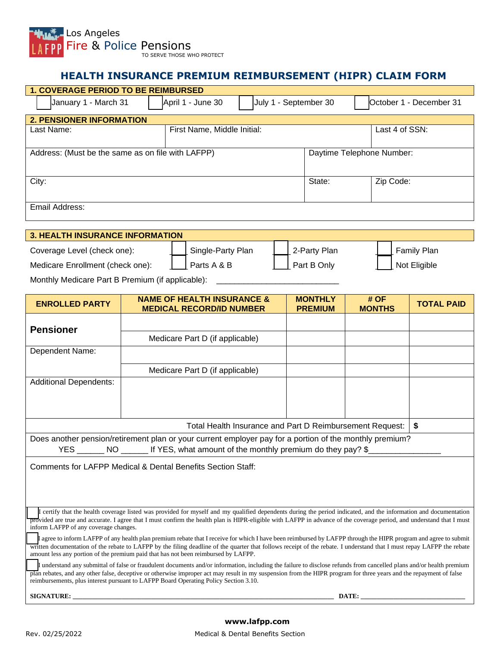

## **HEALTH INSURANCE PREMIUM REIMBURSEMENT (HIPR) CLAIM FORM**

| <b>1. COVERAGE PERIOD TO BE REIMBURSED</b>        |                             |                       |                           |                         |  |  |
|---------------------------------------------------|-----------------------------|-----------------------|---------------------------|-------------------------|--|--|
| January 1 - March 31                              | April 1 - June 30           | July 1 - September 30 |                           | October 1 - December 31 |  |  |
| <b>2. PENSIONER INFORMATION</b>                   |                             |                       |                           |                         |  |  |
| Last Name:                                        | First Name, Middle Initial: |                       |                           | Last 4 of SSN:          |  |  |
| Address: (Must be the same as on file with LAFPP) |                             |                       | Daytime Telephone Number: |                         |  |  |
| City:                                             |                             |                       | State:                    | Zip Code:               |  |  |
| Email Address:                                    |                             |                       |                           |                         |  |  |
| <b>3. HEALTH INSURANCE INFORMATION</b>            |                             |                       |                           |                         |  |  |

| <u>J. IILAL III INJUNANUL INI UNIJIA HUN</u> |  |                   |  |              |  |              |
|----------------------------------------------|--|-------------------|--|--------------|--|--------------|
| Coverage Level (check one):                  |  | Single-Party Plan |  | 2-Party Plan |  | Family Plan  |
| Medicare Enrollment (check one):             |  | Parts A & B       |  | Part B Only  |  | Not Eligible |

Monthly Medicare Part B Premium (if applicable): \_\_\_\_\_\_\_\_\_\_\_\_\_\_\_\_\_\_\_\_\_\_\_\_\_\_\_\_\_\_\_

| <b>ENROLLED PARTY</b>                                                                                                                                                                                                                                                                                                                                                                                                               | <b>NAME OF HEALTH INSURANCE &amp;</b><br><b>MEDICAL RECORD/ID NUMBER</b> | <b>MONTHLY</b><br><b>PREMIUM</b> | # OF<br><b>MONTHS</b> | <b>TOTAL PAID</b> |  |  |
|-------------------------------------------------------------------------------------------------------------------------------------------------------------------------------------------------------------------------------------------------------------------------------------------------------------------------------------------------------------------------------------------------------------------------------------|--------------------------------------------------------------------------|----------------------------------|-----------------------|-------------------|--|--|
|                                                                                                                                                                                                                                                                                                                                                                                                                                     |                                                                          |                                  |                       |                   |  |  |
| <b>Pensioner</b>                                                                                                                                                                                                                                                                                                                                                                                                                    | Medicare Part D (if applicable)                                          |                                  |                       |                   |  |  |
| Dependent Name:                                                                                                                                                                                                                                                                                                                                                                                                                     |                                                                          |                                  |                       |                   |  |  |
|                                                                                                                                                                                                                                                                                                                                                                                                                                     | Medicare Part D (if applicable)                                          |                                  |                       |                   |  |  |
| <b>Additional Dependents:</b>                                                                                                                                                                                                                                                                                                                                                                                                       |                                                                          |                                  |                       |                   |  |  |
|                                                                                                                                                                                                                                                                                                                                                                                                                                     |                                                                          |                                  |                       |                   |  |  |
|                                                                                                                                                                                                                                                                                                                                                                                                                                     |                                                                          |                                  |                       |                   |  |  |
|                                                                                                                                                                                                                                                                                                                                                                                                                                     | Total Health Insurance and Part D Reimbursement Request:                 |                                  |                       | \$                |  |  |
| Does another pension/retirement plan or your current employer pay for a portion of the monthly premium?                                                                                                                                                                                                                                                                                                                             |                                                                          |                                  |                       |                   |  |  |
| YES ________ NO _______ If YES, what amount of the monthly premium do they pay? \$_                                                                                                                                                                                                                                                                                                                                                 |                                                                          |                                  |                       |                   |  |  |
| Comments for LAFPP Medical & Dental Benefits Section Staff:                                                                                                                                                                                                                                                                                                                                                                         |                                                                          |                                  |                       |                   |  |  |
|                                                                                                                                                                                                                                                                                                                                                                                                                                     |                                                                          |                                  |                       |                   |  |  |
|                                                                                                                                                                                                                                                                                                                                                                                                                                     |                                                                          |                                  |                       |                   |  |  |
| I certify that the health coverage listed was provided for myself and my qualified dependents during the period indicated, and the information and documentation<br>provided are true and accurate. I agree that I must confirm the health plan is HIPR-eligible with LAFPP in advance of the coverage period, and understand that I must<br>inform LAFPP of any coverage changes.                                                  |                                                                          |                                  |                       |                   |  |  |
| If agree to inform LAFPP of any health plan premium rebate that I receive for which I have been reimbursed by LAFPP through the HIPR program and agree to submit<br>written documentation of the rebate to LAFPP by the filing deadline of the quarter that follows receipt of the rebate. I understand that I must repay LAFPP the rebate<br>amount less any portion of the premium paid that has not been reimbursed by LAFPP.    |                                                                          |                                  |                       |                   |  |  |
| I understand any submittal of false or fraudulent documents and/or information, including the failure to disclose refunds from cancelled plans and/or health premium<br>plan rebates, and any other false, deceptive or otherwise improper act may result in my suspension from the HIPR program for three years and the repayment of false<br>reimbursements, plus interest pursuant to LAFPP Board Operating Policy Section 3.10. |                                                                          |                                  |                       |                   |  |  |
| SIGNATURE: New York SIGNATURE:                                                                                                                                                                                                                                                                                                                                                                                                      |                                                                          |                                  | DATE:                 |                   |  |  |